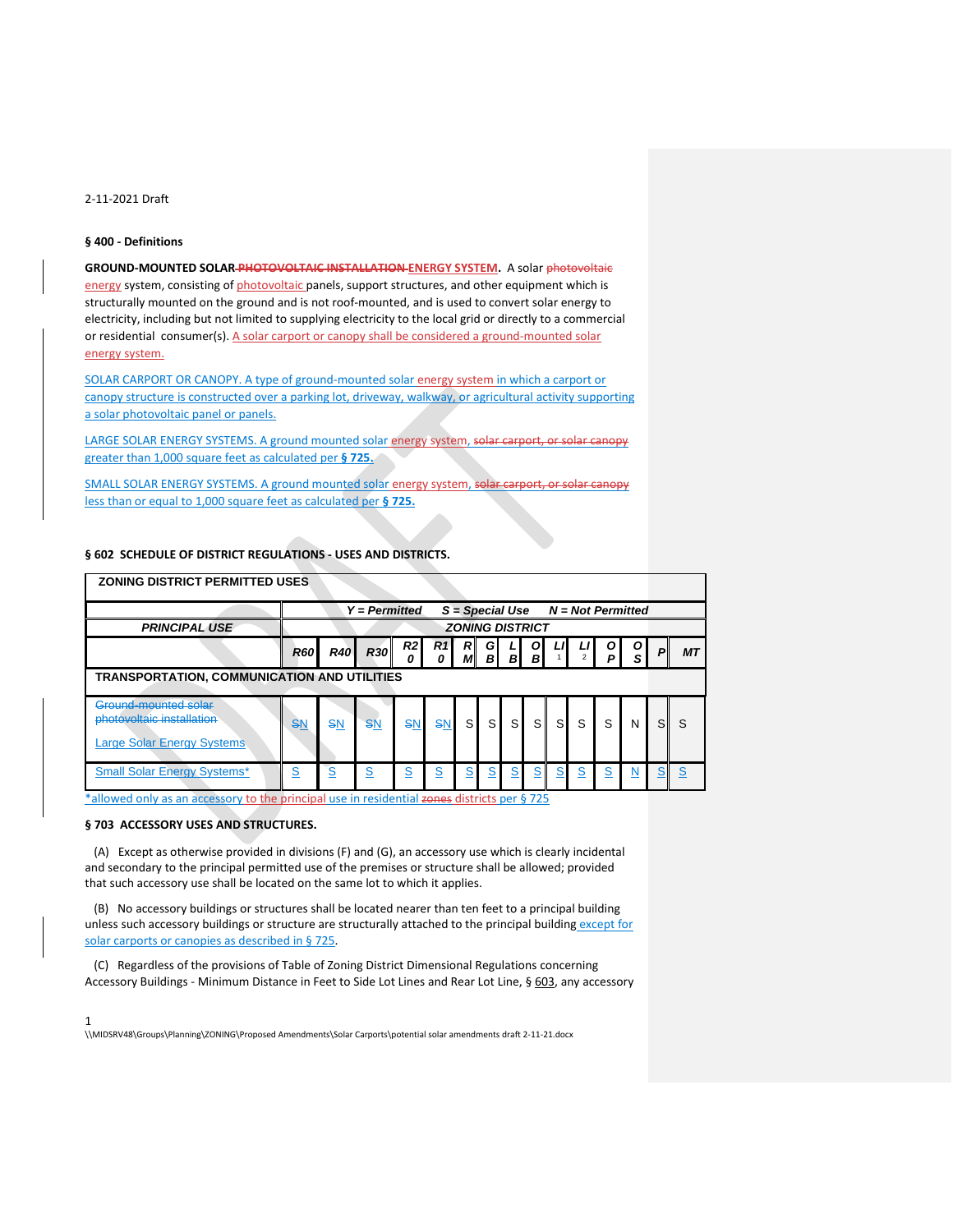## **§ 400 - Definitions**

**GROUND-MOUNTED SOLAR PHOTOVOLTAIC INSTALLATION ENERGY SYSTEM.** A solar photovoltaic energy system, consisting of photovoltaic panels, support structures, and other equipment which is structurally mounted on the ground and is not roof-mounted, and is used to convert solar energy to electricity, including but not limited to supplying electricity to the local grid or directly to a commercial or residential consumer(s). A solar carport or canopy shall be considered a ground-mounted solar energy system.

SOLAR CARPORT OR CANOPY. A type of ground-mounted solar energy system in which a carport or canopy structure is constructed over a parking lot, driveway, walkway, or agricultural activity supporting a solar photovoltaic panel or panels.

LARGE SOLAR ENERGY SYSTEMS. A ground mounted solar energy system, solar carport, or solar canopy greater than 1,000 square feet as calculated per **§ 725.**

SMALL SOLAR ENERGY SYSTEMS. A ground mounted solar energy system, less than or equal to 1,000 square feet as calculated per **§ 725.**

| <b>ZONING DISTRICT PERMITTED USES</b>                                                  |                                                          |            |            |                     |    |          |          |          |                                      |          |          |        |        |            |           |
|----------------------------------------------------------------------------------------|----------------------------------------------------------|------------|------------|---------------------|----|----------|----------|----------|--------------------------------------|----------|----------|--------|--------|------------|-----------|
|                                                                                        | $S = Special Use$ $N = Not$ Permitted<br>$Y = Permitted$ |            |            |                     |    |          |          |          |                                      |          |          |        |        |            |           |
| <b>PRINCIPAL USE</b>                                                                   | <b>ZONING DISTRICT</b>                                   |            |            |                     |    |          |          |          |                                      |          |          |        |        |            |           |
|                                                                                        | <b>R60</b>                                               | <b>R40</b> | <b>R30</b> | R <sub>2</sub><br>0 | R1 | R<br>М   | G<br>B   | в        | ο<br>B                               |          | 2        | Ο<br>P | Ο<br>s | Ρl         | <b>MT</b> |
| <b>TRANSPORTATION, COMMUNICATION AND UTILITIES</b>                                     |                                                          |            |            |                     |    |          |          |          |                                      |          |          |        |        |            |           |
| Ground-mounted solar<br>photovoltaic installation<br><b>Large Solar Energy Systems</b> | SN                                                       | SN         | SN         | SN                  | SN | S        | S        | S        | S                                    | S        | S        | S      | N      | S.         | S         |
| <b>Small Solar Energy Systems*</b>                                                     | <u>s</u>                                                 | <u>s</u>   | <u>s</u>   | S                   | S  | <u>s</u> | <u>s</u> | <u>s</u> | $\underline{\underline{\mathsf{S}}}$ | <u>s</u> | <u>s</u> | S      | N      | <u>s l</u> | <u>s</u>  |

## **§ 602 SCHEDULE OF DISTRICT REGULATIONS - USES AND DISTRICTS.**

\*allowed only as an accessory to the principal use in residential zones districts per § 725

#### **§ 703 ACCESSORY USES AND STRUCTURES.**

1

 (A) Except as otherwise provided in divisions (F) and (G), an accessory use which is clearly incidental and secondary to the principal permitted use of the premises or structure shall be allowed; provided that such accessory use shall be located on the same lot to which it applies.

 (B) No accessory buildings or structures shall be located nearer than ten feet to a principal building unless such accessory buildings or structure are structurally attached to the principal building except for solar carports or canopies as described in § 725.

 (C) Regardless of the provisions of Table of Zoning District Dimensional Regulations concerning Accessory Buildings - Minimum Distance in Feet to Side Lot Lines and Rear Lot Line, § [603,](http://library.amlegal.com/nxt/gateway.dll?f=jumplink$jumplink_x=Advanced$jumplink_vpc=first$jumplink_xsl=querylink.xsl$jumplink_sel=title;path;content-type;home-title;item-bookmark$jumplink_d=rhode%20island(middletown_ri)$jumplink_q=%5bfield%20folio-destination-name:%27Ch.%20152%2C%20App.%20A%2C%20Sec.%20603%27%5d$jumplink_md=target-id=JD_Ch.152App.ASec.603) any accessory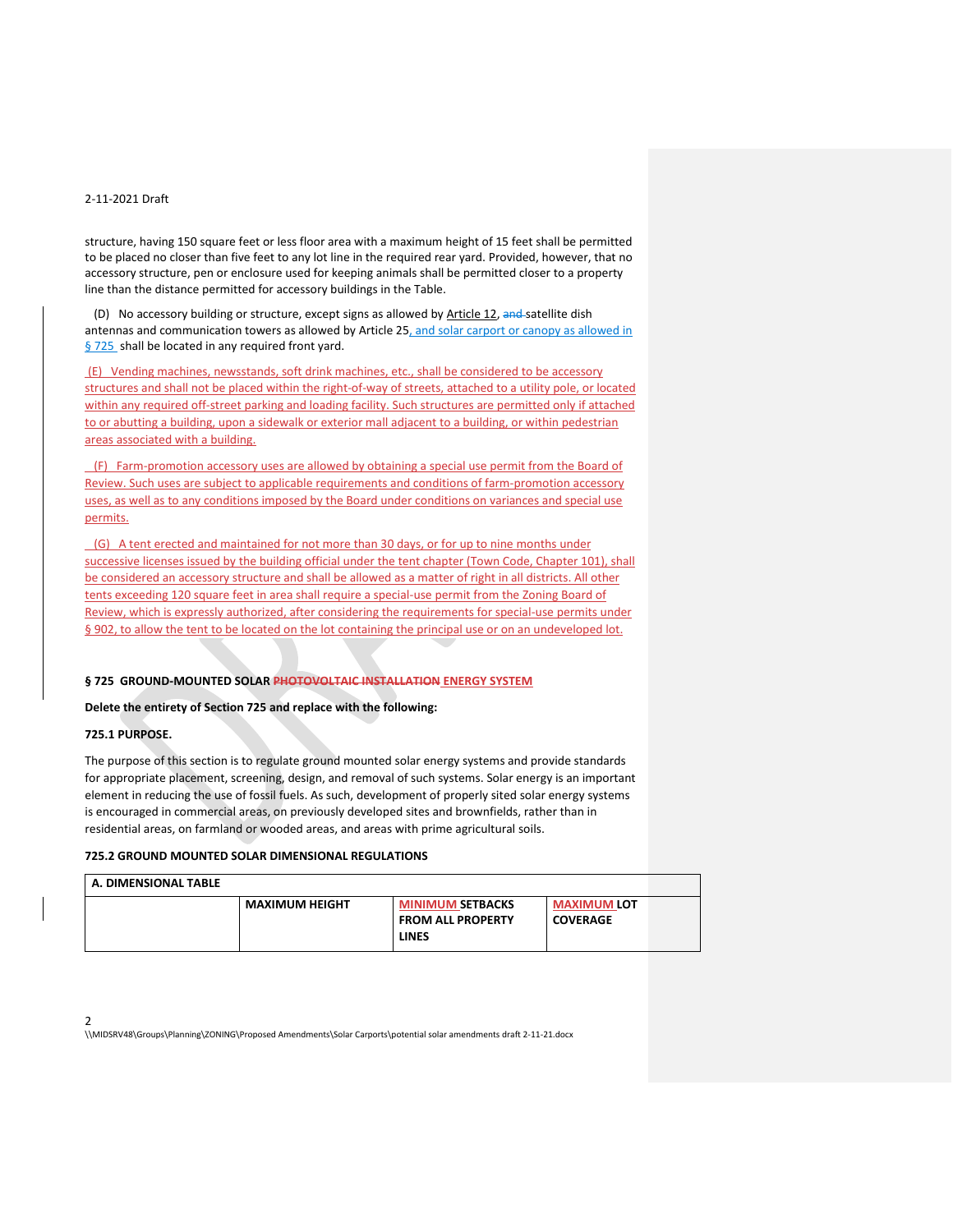structure, having 150 square feet or less floor area with a maximum height of 15 feet shall be permitted to be placed no closer than five feet to any lot line in the required rear yard. Provided, however, that no accessory structure, pen or enclosure used for keeping animals shall be permitted closer to a property line than the distance permitted for accessory buildings in the Table.

(D) No accessory building or structure, except signs as allowed by [Article 12,](http://library.amlegal.com/nxt/gateway.dll?f=jumplink$jumplink_x=Advanced$jumplink_vpc=first$jumplink_xsl=querylink.xsl$jumplink_sel=title;path;content-type;home-title;item-bookmark$jumplink_d=rhode%20island(middletown_ri)$jumplink_q=%5bfield%20folio-destination-name:%27Ch.%20152%2C%20App.%20A%2C%20Art.%2012%27%5d$jumplink_md=target-id=JD_Ch.152App.AArt.12) and satellite dish antennas and communication towers as allowed by Article 25, and solar carport or canopy as allowed in § 725 shall be located in any required front yard.

(E) Vending machines, newsstands, soft drink machines, etc., shall be considered to be accessory structures and shall not be placed within the right-of-way of streets, attached to a utility pole, or located within any required off-street parking and loading facility. Such structures are permitted only if attached to or abutting a building, upon a sidewalk or exterior mall adjacent to a building, or within pedestrian areas associated with a building.

 (F) Farm-promotion accessory uses are allowed by obtaining a special use permit from the Board of Review. Such uses are subject to applicable requirements and conditions of farm-promotion accessory uses, as well as to any conditions imposed by the Board under conditions on variances and special use permits.

 (G) A tent erected and maintained for not more than 30 days, or for up to nine months under successive licenses issued by the building official under the tent chapter (Town Code, [Chapter 101\)](https://codelibrary.amlegal.com/codes/middletown/latest/middletown_ri/0-0-0-4797#JD_Chapter101), shall be considered an accessory structure and shall be allowed as a matter of right in all districts. All other tents exceeding 120 square feet in area shall require a special-use permit from the Zoning Board of Review, which is expressly authorized, after considering the requirements for special-use permits under § [902,](https://codelibrary.amlegal.com/codes/middletown/latest/middletown_ri/0-0-0-7383#JD_Ch.152App.ASec.902) to allow the tent to be located on the lot containing the principal use or on an undeveloped lot.

#### **§ 725 GROUND-MOUNTED SOLAR PHOTOVOLTAIC INSTALLATION ENERGY SYSTEM**

## **Delete the entirety of Section 725 and replace with the following:**

#### **725.1 PURPOSE.**

The purpose of this section is to regulate ground mounted solar energy systems and provide standards for appropriate placement, screening, design, and removal of such systems. Solar energy is an important element in reducing the use of fossil fuels. As such, development of properly sited solar energy systems is encouraged in commercial areas, on previously developed sites and brownfields, rather than in residential areas, on farmland or wooded areas, and areas with prime agricultural soils.

## **725.2 GROUND MOUNTED SOLAR DIMENSIONAL REGULATIONS**

| A. DIMENSIONAL TABLE |                       |                                                                     |                                       |  |  |  |  |  |  |
|----------------------|-----------------------|---------------------------------------------------------------------|---------------------------------------|--|--|--|--|--|--|
|                      | <b>MAXIMUM HEIGHT</b> | <b>MINIMUM SETBACKS</b><br><b>FROM ALL PROPERTY</b><br><b>LINES</b> | <b>MAXIMUM LOT</b><br><b>COVERAGE</b> |  |  |  |  |  |  |

|  | ٠ |  |  |
|--|---|--|--|
|  |   |  |  |
|  |   |  |  |
|  |   |  |  |
|  |   |  |  |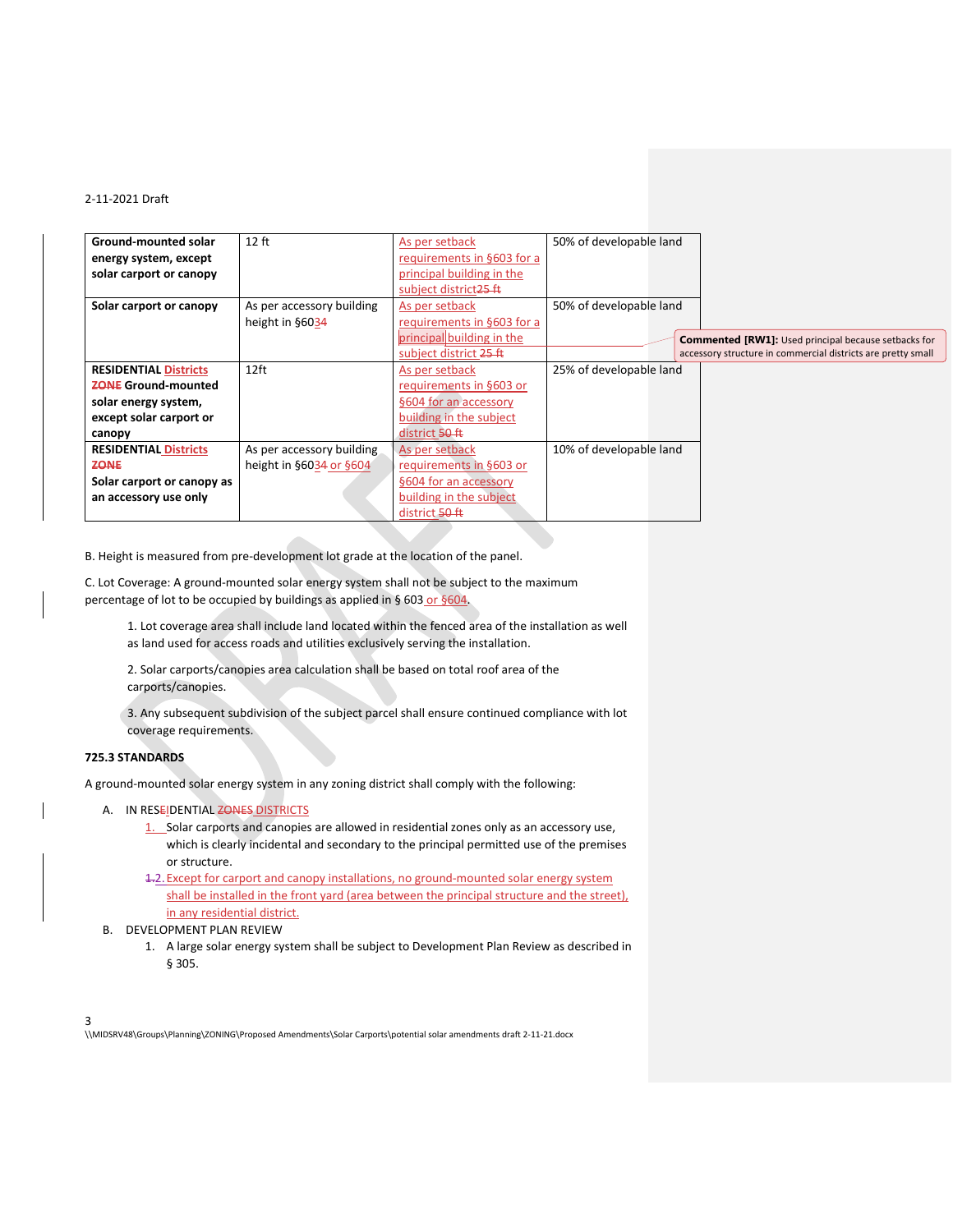| Ground-mounted solar         | $12$ ft                   | As per setback                    | 50% of developable land |                                                              |
|------------------------------|---------------------------|-----------------------------------|-------------------------|--------------------------------------------------------------|
| energy system, except        |                           | requirements in §603 for a        |                         |                                                              |
| solar carport or canopy      |                           | principal building in the         |                         |                                                              |
|                              |                           | subject district <del>25 ft</del> |                         |                                                              |
| Solar carport or canopy      | As per accessory building | As per setback                    | 50% of developable land |                                                              |
|                              | height in §6034           | requirements in §603 for a        |                         |                                                              |
|                              |                           | principal building in the         |                         | <b>Commented [RW1]:</b> Used principal because setbacks for  |
|                              |                           | subject district 25 ft            |                         | accessory structure in commercial districts are pretty small |
| <b>RESIDENTIAL Districts</b> | 12 <sup>ft</sup>          | As per setback                    | 25% of developable land |                                                              |
| <b>ZONE Ground-mounted</b>   |                           | requirements in §603 or           |                         |                                                              |
| solar energy system,         |                           | §604 for an accessory             |                         |                                                              |
| except solar carport or      |                           | building in the subject           |                         |                                                              |
| canopy                       |                           | district <del>50 ft</del>         |                         |                                                              |
| <b>RESIDENTIAL Districts</b> | As per accessory building | As per setback                    | 10% of developable land |                                                              |
| ZONE                         | height in §6034 or §604   | requirements in §603 or           |                         |                                                              |
| Solar carport or canopy as   |                           | §604 for an accessory             |                         |                                                              |
| an accessory use only        |                           | building in the subject           |                         |                                                              |
|                              |                           | district 50 ft                    |                         |                                                              |

B. Height is measured from pre-development lot grade at the location of the panel.

C. Lot Coverage: A ground-mounted solar energy system shall not be subject to the maximum percentage of lot to be occupied by buildings as applied in § 603 or §604.

1. Lot coverage area shall include land located within the fenced area of the installation as well as land used for access roads and utilities exclusively serving the installation.

2. Solar carports/canopies area calculation shall be based on total roof area of the carports/canopies.

3. Any subsequent subdivision of the subject parcel shall ensure continued compliance with lot coverage requirements.

# **725.3 STANDARDS**

3

A ground-mounted solar energy system in any zoning district shall comply with the following:

- A. IN RESEIDENTIAL ZONES DISTRICTS
	- 1. Solar carports and canopies are allowed in residential zones only as an accessory use, which is clearly incidental and secondary to the principal permitted use of the premises or structure.
	- 1.2. Except for carport and canopy installations, no ground-mounted solar energy system shall be installed in the front yard (area between the principal structure and the street), in any residential district.
- B. DEVELOPMENT PLAN REVIEW
	- 1. A large solar energy system shall be subject to Development Plan Review as described in § 305.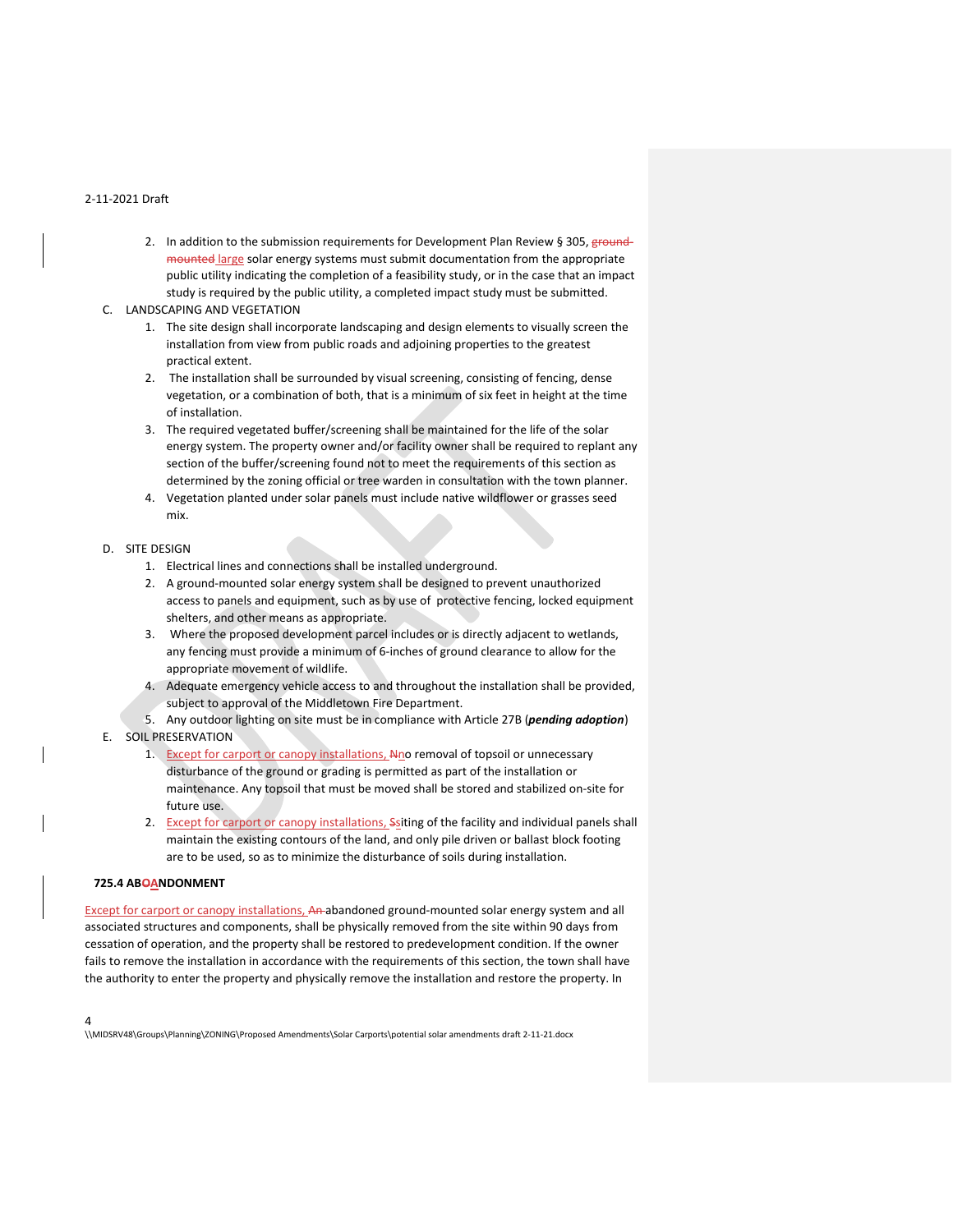- 2. In addition to the submission requirements for Development Plan Review § 305, groundmounted large solar energy systems must submit documentation from the appropriate public utility indicating the completion of a feasibility study, or in the case that an impact study is required by the public utility, a completed impact study must be submitted.
- C. LANDSCAPING AND VEGETATION
	- 1. The site design shall incorporate landscaping and design elements to visually screen the installation from view from public roads and adjoining properties to the greatest practical extent.
	- 2. The installation shall be surrounded by visual screening, consisting of fencing, dense vegetation, or a combination of both, that is a minimum of six feet in height at the time of installation.
	- 3. The required vegetated buffer/screening shall be maintained for the life of the solar energy system. The property owner and/or facility owner shall be required to replant any section of the buffer/screening found not to meet the requirements of this section as determined by the zoning official or tree warden in consultation with the town planner.
	- 4. Vegetation planted under solar panels must include native wildflower or grasses seed mix.

#### D. SITE DESIGN

- 1. Electrical lines and connections shall be installed underground.
- 2. A ground-mounted solar energy system shall be designed to prevent unauthorized access to panels and equipment, such as by use of protective fencing, locked equipment shelters, and other means as appropriate.
- 3. Where the proposed development parcel includes or is directly adjacent to wetlands, any fencing must provide a minimum of 6-inches of ground clearance to allow for the appropriate movement of wildlife.
- 4. Adequate emergency vehicle access to and throughout the installation shall be provided, subject to approval of the Middletown Fire Department.
- 5. Any outdoor lighting on site must be in compliance with Article 27B (*pending adoption*)
- E. SOIL PRESERVATION
	- 1. Except for carport or canopy installations, Ano removal of topsoil or unnecessary disturbance of the ground or grading is permitted as part of the installation or maintenance. Any topsoil that must be moved shall be stored and stabilized on-site for future use.
	- 2. Except for carport or canopy installations, Ssiting of the facility and individual panels shall maintain the existing contours of the land, and only pile driven or ballast block footing are to be used, so as to minimize the disturbance of soils during installation.

#### **725.4 ABOANDONMENT**

 $\Delta$ 

Except for carport or canopy installations, An-abandoned ground-mounted solar energy system and all associated structures and components, shall be physically removed from the site within 90 days from cessation of operation, and the property shall be restored to predevelopment condition. If the owner fails to remove the installation in accordance with the requirements of this section, the town shall have the authority to enter the property and physically remove the installation and restore the property. In